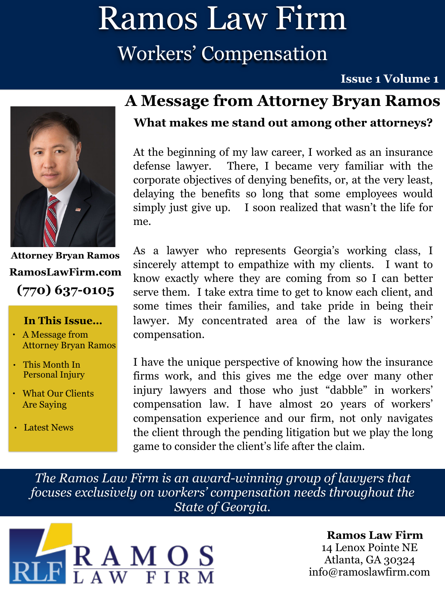## Ramos Law Firm Workers' Compensation

#### **Issue 1 Volume 1**



**Attorney Bryan Ramos (770) 637-0105 [RamosLawFirm.com](http://ramoslawfirm.com)**

#### **In This Issue…**

- A Message from Attorney Bryan Ramos
- This Month In Personal Injury
- What Our Clients Are Saying
- Latest News

### **A Message from Attorney Bryan Ramos**

#### **What makes me stand out among other attorneys?**

At the beginning of my law career, I worked as an insurance defense lawyer. There, I became very familiar with the corporate objectives of denying benefits, or, at the very least, delaying the benefits so long that some employees would simply just give up. I soon realized that wasn't the life for me.

As a lawyer who represents Georgia's working class, I sincerely attempt to empathize with my clients. I want to know exactly where they are coming from so I can better serve them. I take extra time to get to know each client, and some times their families, and take pride in being their lawyer. My concentrated area of the law is workers' compensation.

I have the unique perspective of knowing how the insurance firms work, and this gives me the edge over many other injury lawyers and those who just "dabble" in workers' compensation law. I have almost 20 years of workers' compensation experience and our firm, not only navigates the client through the pending litigation but we play the long game to consider the client's life after the claim.

*The Ramos Law Firm is an award-winning group of lawyers that focuses exclusively on workers' compensation needs throughout the State of Georgia.*



#### **Ramos Law Firm**  14 Lenox Pointe NE Atlanta, GA 30324 [info@ramoslawfirm.com](mailto:info@ramoslawfirm.com?subject=)